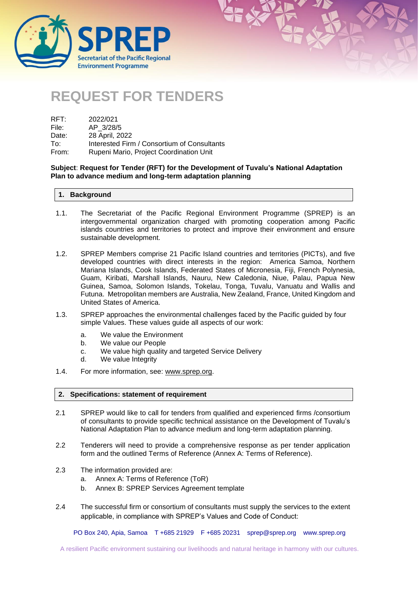

# **REQUEST FOR TENDERS**

| RFT:  | 2022/021                                    |
|-------|---------------------------------------------|
| File: | AP 3/28/5                                   |
| Date: | 28 April, 2022                              |
| To:   | Interested Firm / Consortium of Consultants |
| From: | Rupeni Mario, Project Coordination Unit     |

## **Subject**: **Request for Tender (RFT) for the Development of Tuvalu's National Adaptation Plan to advance medium and long-term adaptation planning**

#### **1. Background**

- 1.1. The Secretariat of the Pacific Regional Environment Programme (SPREP) is an intergovernmental organization charged with promoting cooperation among Pacific islands countries and territories to protect and improve their environment and ensure sustainable development.
- 1.2. SPREP Members comprise 21 Pacific Island countries and territories (PICTs), and five developed countries with direct interests in the region: America Samoa, Northern Mariana Islands, Cook Islands, Federated States of Micronesia, Fiji, French Polynesia, Guam, Kiribati, Marshall Islands, Nauru, New Caledonia, Niue, Palau, Papua New Guinea, Samoa, Solomon Islands, Tokelau, Tonga, Tuvalu, Vanuatu and Wallis and Futuna. Metropolitan members are Australia, New Zealand, France, United Kingdom and United States of America.
- 1.3. SPREP approaches the environmental challenges faced by the Pacific guided by four simple Values. These values guide all aspects of our work:
	- a. We value the Environment
	- b. We value our People
	- c. We value high quality and targeted Service Delivery
	- d. We value Integrity
- 1.4. For more information, see: [www.sprep.org.](http://www.sprep.org/)

#### **2. Specifications: statement of requirement**

- 2.1 SPREP would like to call for tenders from qualified and experienced firms /consortium of consultants to provide specific technical assistance on the Development of Tuvalu's National Adaptation Plan to advance medium and long-term adaptation planning.
- 2.2 Tenderers will need to provide a comprehensive response as per tender application form and the outlined Terms of Reference (Annex A: Terms of Reference).
- 2.3 The information provided are:
	- a. Annex A: Terms of Reference (ToR)
	- b. Annex B: SPREP Services Agreement template
- 2.4 The successful firm or consortium of consultants must supply the services to the extent applicable, in compliance with SPREP's Values and Code of Conduct:

PO Box 240, Apia, Samoa T +685 21929 F +685 20231 [sprep@sprep.org](mailto:sprep@sprep.org) [www.sprep.org](http://www.sprep.org/)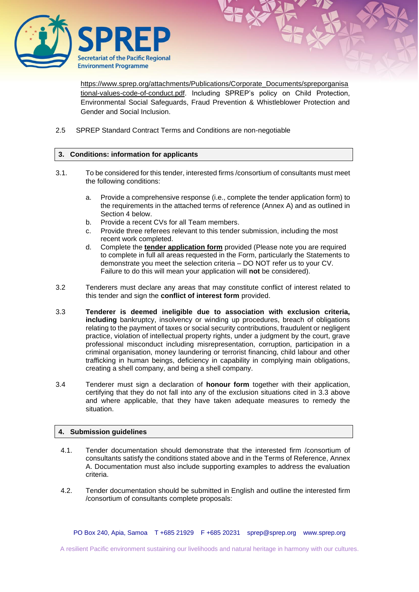

[https://www.sprep.org/attachments/Publications/Corporate\\_Documents/spreporganisa](https://www.sprep.org/attachments/Publications/Corporate_Documents/spreporganisational-values-code-of-conduct.pdf) [tional-values-code-of-conduct.pdf.](https://www.sprep.org/attachments/Publications/Corporate_Documents/spreporganisational-values-code-of-conduct.pdf) Including SPREP's policy on Child Protection, Environmental Social Safeguards, Fraud Prevention & Whistleblower Protection and Gender and Social Inclusion.

2.5 SPREP Standard Contract Terms and Conditions are non-negotiable

## **3. Conditions: information for applicants**

- 3.1. To be considered for this tender, interested firms /consortium of consultants must meet the following conditions:
	- a. Provide a comprehensive response (i.e., complete the tender application form) to the requirements in the attached terms of reference (Annex A) and as outlined in Section 4 below.
	- b. Provide a recent CVs for all Team members.
	- c. Provide three referees relevant to this tender submission, including the most recent work completed.
	- d. Complete the **tender application form** provided (Please note you are required to complete in full all areas requested in the Form, particularly the Statements to demonstrate you meet the selection criteria – DO NOT refer us to your CV. Failure to do this will mean your application will **not** be considered).
- 3.2 Tenderers must declare any areas that may constitute conflict of interest related to this tender and sign the **conflict of interest form** provided.
- 3.3 **Tenderer is deemed ineligible due to association with exclusion criteria, including** bankruptcy, insolvency or winding up procedures, breach of obligations relating to the payment of taxes or social security contributions, fraudulent or negligent practice, violation of intellectual property rights, under a judgment by the court, grave professional misconduct including misrepresentation, corruption, participation in a criminal organisation, money laundering or terrorist financing, child labour and other trafficking in human beings, deficiency in capability in complying main obligations, creating a shell company, and being a shell company.
- 3.4 Tenderer must sign a declaration of **honour form** together with their application, certifying that they do not fall into any of the exclusion situations cited in 3.3 above and where applicable, that they have taken adequate measures to remedy the situation.

## **4. Submission guidelines**

- 4.1. Tender documentation should demonstrate that the interested firm /consortium of consultants satisfy the conditions stated above and in the Terms of Reference, Annex A. Documentation must also include supporting examples to address the evaluation criteria.
- 4.2. Tender documentation should be submitted in English and outline the interested firm /consortium of consultants complete proposals:

PO Box 240, Apia, Samoa T +685 21929 F +685 20231 [sprep@sprep.org](mailto:sprep@sprep.org) [www.sprep.org](http://www.sprep.org/)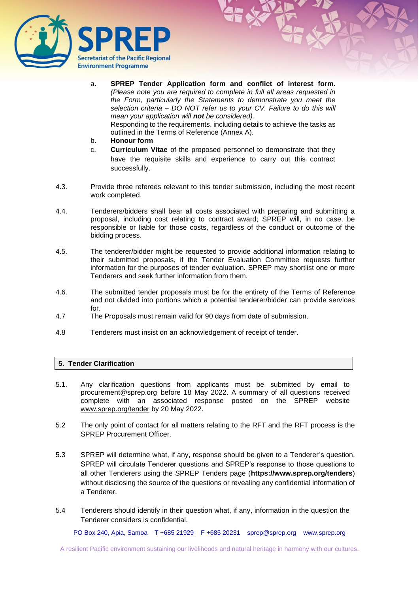

- a. **SPREP Tender Application form and conflict of interest form.**  *(Please note you are required to complete in full all areas requested in the Form, particularly the Statements to demonstrate you meet the selection criteria – DO NOT refer us to your CV. Failure to do this will mean your application will not be considered).*  Responding to the requirements, including details to achieve the tasks as outlined in the Terms of Reference (Annex A).
- b. **Honour form**
- c. **Curriculum Vitae** of the proposed personnel to demonstrate that they have the requisite skills and experience to carry out this contract successfully.
- 4.3. Provide three referees relevant to this tender submission, including the most recent work completed.
- 4.4. Tenderers/bidders shall bear all costs associated with preparing and submitting a proposal, including cost relating to contract award; SPREP will, in no case, be responsible or liable for those costs, regardless of the conduct or outcome of the bidding process.
- 4.5. The tenderer/bidder might be requested to provide additional information relating to their submitted proposals, if the Tender Evaluation Committee requests further information for the purposes of tender evaluation. SPREP may shortlist one or more Tenderers and seek further information from them.
- 4.6. The submitted tender proposals must be for the entirety of the Terms of Reference and not divided into portions which a potential tenderer/bidder can provide services for.
- 4.7 The Proposals must remain valid for 90 days from date of submission.
- 4.8 Tenderers must insist on an acknowledgement of receipt of tender.

## **5. Tender Clarification**

- 5.1. Any clarification questions from applicants must be submitted by email to [procurement@sprep.org](mailto:procurement@sprep.org) before 18 May 2022. A summary of all questions received complete with an associated response posted on the SPREP website [www.sprep.org/tender](http://www.sprep.org/tender) by 20 May 2022.
- 5.2 The only point of contact for all matters relating to the RFT and the RFT process is the SPREP Procurement Officer.
- 5.3 SPREP will determine what, if any, response should be given to a Tenderer's question. SPREP will circulate Tenderer questions and SPREP's response to those questions to all other Tenderers using the SPREP Tenders page (**<https://www.sprep.org/tenders>**) without disclosing the source of the questions or revealing any confidential information of a Tenderer.
- 5.4 Tenderers should identify in their question what, if any, information in the question the Tenderer considers is confidential.

PO Box 240, Apia, Samoa T +685 21929 F +685 20231 [sprep@sprep.org](mailto:sprep@sprep.org) [www.sprep.org](http://www.sprep.org/)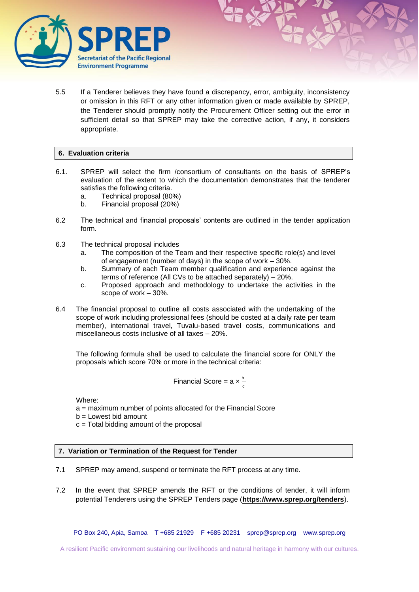

5.5 If a Tenderer believes they have found a discrepancy, error, ambiguity, inconsistency or omission in this RFT or any other information given or made available by SPREP, the Tenderer should promptly notify the Procurement Officer setting out the error in sufficient detail so that SPREP may take the corrective action, if any, it considers appropriate.

## **6. Evaluation criteria**

- 6.1. SPREP will select the firm /consortium of consultants on the basis of SPREP's evaluation of the extent to which the documentation demonstrates that the tenderer satisfies the following criteria.
	- a. Technical proposal (80%)
	- b. Financial proposal (20%)
- 6.2 The technical and financial proposals' contents are outlined in the tender application form.
- 6.3 The technical proposal includes
	- a. The composition of the Team and their respective specific role(s) and level of engagement (number of days) in the scope of work – 30%.
	- b. Summary of each Team member qualification and experience against the terms of reference (All CVs to be attached separately) – 20%.
	- c. Proposed approach and methodology to undertake the activities in the scope of work – 30%.
- 6.4 The financial proposal to outline all costs associated with the undertaking of the scope of work including professional fees (should be costed at a daily rate per team member), international travel, Tuvalu-based travel costs, communications and miscellaneous costs inclusive of all taxes – 20%.

The following formula shall be used to calculate the financial score for ONLY the proposals which score 70% or more in the technical criteria:

Financial Score = 
$$
a \times \frac{b}{c}
$$

Where:

a = maximum number of points allocated for the Financial Score

b = Lowest bid amount

 $c =$  Total bidding amount of the proposal

## **7. Variation or Termination of the Request for Tender**

- 7.1 SPREP may amend, suspend or terminate the RFT process at any time.
- 7.2 In the event that SPREP amends the RFT or the conditions of tender, it will inform potential Tenderers using the SPREP Tenders page (**<https://www.sprep.org/tenders>**).

PO Box 240, Apia, Samoa T +685 21929 F +685 20231 [sprep@sprep.org](mailto:sprep@sprep.org) [www.sprep.org](http://www.sprep.org/)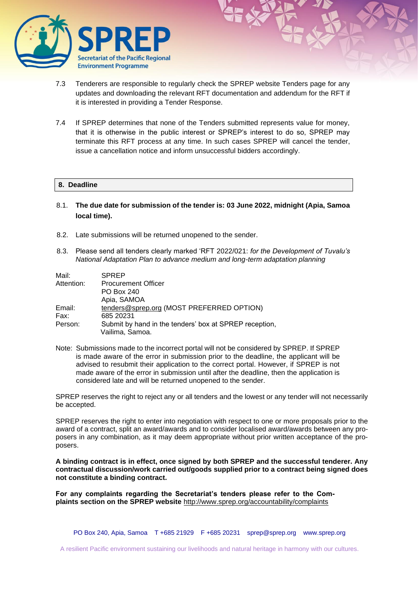

- 7.3 Tenderers are responsible to regularly check the SPREP website Tenders page for any updates and downloading the relevant RFT documentation and addendum for the RFT if it is interested in providing a Tender Response.
- 7.4 If SPREP determines that none of the Tenders submitted represents value for money, that it is otherwise in the public interest or SPREP's interest to do so, SPREP may terminate this RFT process at any time. In such cases SPREP will cancel the tender, issue a cancellation notice and inform unsuccessful bidders accordingly.

## **8. Deadline**

- 8.1. **The due date for submission of the tender is: 03 June 2022, midnight (Apia, Samoa local time).**
- 8.2. Late submissions will be returned unopened to the sender.
- 8.3. Please send all tenders clearly marked 'RFT 2022/021: *for the Development of Tuvalu's National Adaptation Plan to advance medium and long-term adaptation planning*

| Mail:      | <b>SPREP</b>                                           |
|------------|--------------------------------------------------------|
| Attention: | <b>Procurement Officer</b>                             |
|            | PO Box 240                                             |
|            | Apia, SAMOA                                            |
| Email:     | tenders@sprep.org (MOST PREFERRED OPTION)              |
| Fax:       | 685 20231                                              |
| Person:    | Submit by hand in the tenders' box at SPREP reception, |
|            | Vailima, Samoa.                                        |

Note: Submissions made to the incorrect portal will not be considered by SPREP. If SPREP is made aware of the error in submission prior to the deadline, the applicant will be advised to resubmit their application to the correct portal. However, if SPREP is not made aware of the error in submission until after the deadline, then the application is considered late and will be returned unopened to the sender.

SPREP reserves the right to reject any or all tenders and the lowest or any tender will not necessarily be accepted.

SPREP reserves the right to enter into negotiation with respect to one or more proposals prior to the award of a contract, split an award/awards and to consider localised award/awards between any proposers in any combination, as it may deem appropriate without prior written acceptance of the proposers.

**A binding contract is in effect, once signed by both SPREP and the successful tenderer. Any contractual discussion/work carried out/goods supplied prior to a contract being signed does not constitute a binding contract.** 

**For any complaints regarding the Secretariat's tenders please refer to the Complaints section on the SPREP website** <http://www.sprep.org/accountability/complaints>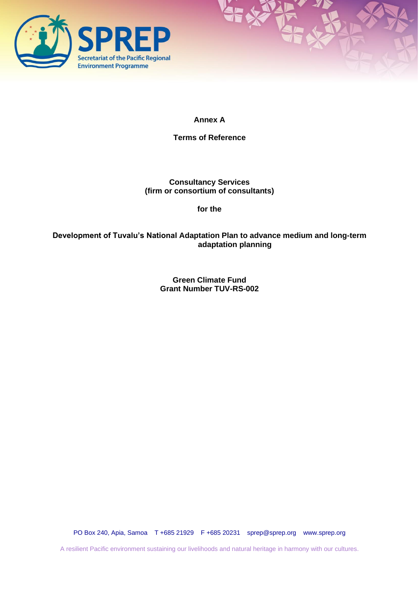



# **Annex A**

**Terms of Reference**

**Consultancy Services (firm or consortium of consultants)**

**for the**

**Development of Tuvalu's National Adaptation Plan to advance medium and long-term adaptation planning**

> **Green Climate Fund Grant Number TUV-RS-002**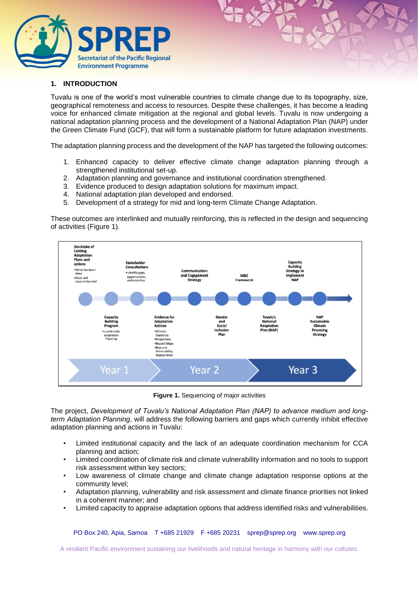

## **1. INTRODUCTION**

Tuvalu is one of the world's most vulnerable countries to climate change due to its topography, size, geographical remoteness and access to resources. Despite these challenges, it has become a leading voice for enhanced climate mitigation at the regional and global levels. Tuvalu is now undergoing a national adaptation planning process and the development of a National Adaptation Plan (NAP) under the Green Climate Fund (GCF), that will form a sustainable platform for future adaptation investments.

The adaptation planning process and the development of the NAP has targeted the following outcomes:

- 1. Enhanced capacity to deliver effective climate change adaptation planning through a strengthened institutional set-up.
- 2. Adaptation planning and governance and institutional coordination strengthened.
- 3. Evidence produced to design adaptation solutions for maximum impact.
- 4. National adaptation plan developed and endorsed.
- 5. Development of a strategy for mid and long-term Climate Change Adaptation.

These outcomes are interlinked and mutually reinforcing, this is reflected in the design and sequencing of activities (Figure 1).



**Figure 1.** Sequencing of major activities

The project, *Development of Tuvalu's National Adaptation Plan (NAP) to advance medium and longterm Adaptation Planning*, will address the following barriers and gaps which currently inhibit effective adaptation planning and actions in Tuvalu:

- Limited institutional capacity and the lack of an adequate coordination mechanism for CCA planning and action;
- Limited coordination of climate risk and climate vulnerability information and no tools to support risk assessment within key sectors;
- Low awareness of climate change and climate change adaptation response options at the community level;
- Adaptation planning, vulnerability and risk assessment and climate finance priorities not linked in a coherent manner; and
- Limited capacity to appraise adaptation options that address identified risks and vulnerabilities.

PO Box 240, Apia, Samoa T +685 21929 F +685 20231 [sprep@sprep.org](mailto:sprep@sprep.org) [www.sprep.org](http://www.sprep.org/)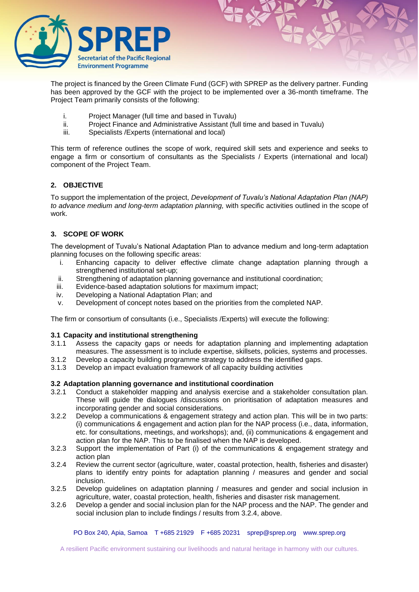

The project is financed by the Green Climate Fund (GCF) with SPREP as the delivery partner. Funding has been approved by the GCF with the project to be implemented over a 36-month timeframe. The Project Team primarily consists of the following:

- i. Project Manager (full time and based in Tuvalu)
- ii. Project Finance and Administrative Assistant (full time and based in Tuvalu)
- iii. Specialists /Experts (international and local)

This term of reference outlines the scope of work, required skill sets and experience and seeks to engage a firm or consortium of consultants as the Specialists / Experts (international and local) component of the Project Team.

## **2. OBJECTIVE**

To support the implementation of the project, *Development of Tuvalu's National Adaptation Plan (NAP) to advance medium and long-term adaptation planning,* with specific activities outlined in the scope of work.

## **3. SCOPE OF WORK**

The development of Tuvalu's National Adaptation Plan to advance medium and long-term adaptation planning focuses on the following specific areas:

- i. Enhancing capacity to deliver effective climate change adaptation planning through a strengthened institutional set-up;
- ii. Strengthening of adaptation planning governance and institutional coordination;
- iii. Evidence-based adaptation solutions for maximum impact;
- iv. Developing a National Adaptation Plan; and
- v. Development of concept notes based on the priorities from the completed NAP.

The firm or consortium of consultants (i.e., Specialists /Experts) will execute the following:

## **3.1 Capacity and institutional strengthening**

- 3.1.1 Assess the capacity gaps or needs for adaptation planning and implementing adaptation measures. The assessment is to include expertise, skillsets, policies, systems and processes.
- 3.1.2 Develop a capacity building programme strategy to address the identified gaps.
- 3.1.3 Develop an impact evaluation framework of all capacity building activities

#### **3.2 Adaptation planning governance and institutional coordination**

- 3.2.1 Conduct a stakeholder mapping and analysis exercise and a stakeholder consultation plan. These will guide the dialogues /discussions on prioritisation of adaptation measures and incorporating gender and social considerations.
- 3.2.2 Develop a communications & engagement strategy and action plan. This will be in two parts: (i) communications & engagement and action plan for the NAP process (i.e., data, information, etc. for consultations, meetings, and workshops); and, (ii) communications & engagement and action plan for the NAP. This to be finalised when the NAP is developed.
- 3.2.3 Support the implementation of Part (i) of the communications & engagement strategy and action plan
- 3.2.4 Review the current sector (agriculture, water, coastal protection, health, fisheries and disaster) plans to identify entry points for adaptation planning / measures and gender and social inclusion.
- 3.2.5 Develop guidelines on adaptation planning / measures and gender and social inclusion in agriculture, water, coastal protection, health, fisheries and disaster risk management.
- 3.2.6 Develop a gender and social inclusion plan for the NAP process and the NAP. The gender and social inclusion plan to include findings / results from 3.2.4, above.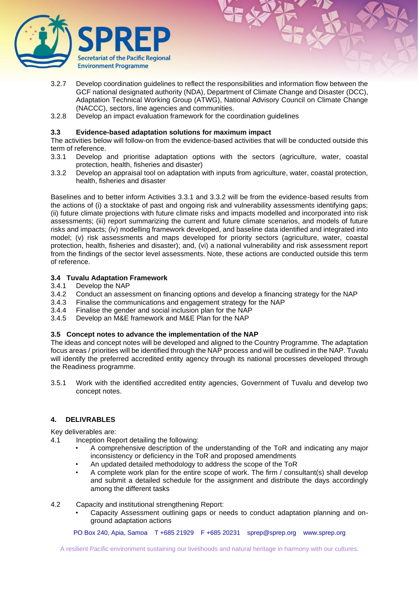

- 3.2.7 Develop coordination guidelines to reflect the responsibilities and information flow between the GCF national designated authority (NDA), Department of Climate Change and Disaster (DCC), Adaptation Technical Working Group (ATWG), National Advisory Council on Climate Change (NACCC), sectors, line agencies and communities.
- 3.2.8 Develop an impact evaluation framework for the coordination guidelines

#### **3.3 Evidence-based adaptation solutions for maximum impact**

The activities below will follow-on from the evidence-based activities that will be conducted outside this term of reference.

- 3.3.1 Develop and prioritise adaptation options with the sectors (agriculture, water, coastal protection, health, fisheries and disaster)
- 3.3.2 Develop an appraisal tool on adaptation with inputs from agriculture, water, coastal protection, health, fisheries and disaster

Baselines and to better inform Activities 3.3.1 and 3.3.2 will be from the evidence-based results from the actions of (i) a stocktake of past and ongoing risk and vulnerability assessments identifying gaps; (ii) future climate projections with future climate risks and impacts modelled and incorporated into risk assessments; (iii) report summarizing the current and future climate scenarios, and models of future risks and impacts; (iv) modelling framework developed, and baseline data identified and integrated into model; (v) risk assessments and maps developed for priority sectors (agriculture, water, coastal protection, health, fisheries and disaster); and, (vi) a national vulnerability and risk assessment report from the findings of the sector level assessments. Note, these actions are conducted outside this term of reference.

#### **3.4 Tuvalu Adaptation Framework**

- 3.4.1 Develop the NAP
- 3.4.2 Conduct an assessment on financing options and develop a financing strategy for the NAP
- 3.4.3 Finalise the communications and engagement strategy for the NAP<br>3.4.4 Finalise the gender and social inclusion plan for the NAP
- 3.4.4 Finalise the gender and social inclusion plan for the NAP<br>3.4.5 Develop an M&E framework and M&E Plan for the NAP
- Develop an M&E framework and M&E Plan for the NAP

## **3.5 Concept notes to advance the implementation of the NAP**

The ideas and concept notes will be developed and aligned to the Country Programme. The adaptation focus areas / priorities will be identified through the NAP process and will be outlined in the NAP. Tuvalu will identify the preferred accredited entity agency through its national processes developed through the Readiness programme.

3.5.1 Work with the identified accredited entity agencies, Government of Tuvalu and develop two concept notes.

## **4. DELIVRABLES**

Key deliverables are:

- 4.1 Inception Report detailing the following:
	- A comprehensive description of the understanding of the ToR and indicating any major inconsistency or deficiency in the ToR and proposed amendments
	- An updated detailed methodology to address the scope of the ToR
	- A complete work plan for the entire scope of work. The firm / consultant(s) shall develop and submit a detailed schedule for the assignment and distribute the days accordingly among the different tasks
- 4.2 Capacity and institutional strengthening Report:
	- Capacity Assessment outlining gaps or needs to conduct adaptation planning and onground adaptation actions

PO Box 240, Apia, Samoa T +685 21929 F +685 20231 [sprep@sprep.org](mailto:sprep@sprep.org) [www.sprep.org](http://www.sprep.org/)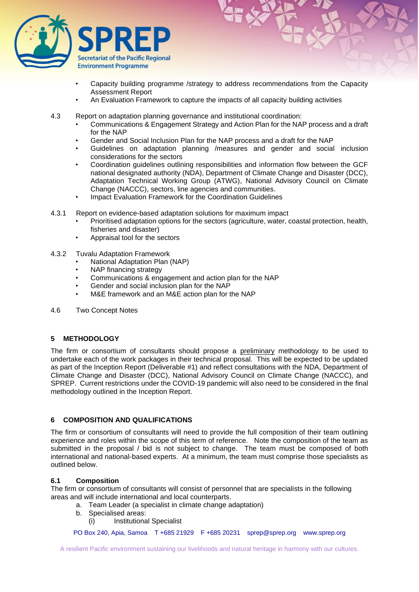

- Capacity building programme /strategy to address recommendations from the Capacity Assessment Report
- An Evaluation Framework to capture the impacts of all capacity building activities
- 4.3 Report on adaptation planning governance and institutional coordination:
	- Communications & Engagement Strategy and Action Plan for the NAP process and a draft for the NAP
	- Gender and Social Inclusion Plan for the NAP process and a draft for the NAP
	- Guidelines on adaptation planning /measures and gender and social inclusion considerations for the sectors
	- Coordination guidelines outlining responsibilities and information flow between the GCF national designated authority (NDA), Department of Climate Change and Disaster (DCC), Adaptation Technical Working Group (ATWG), National Advisory Council on Climate Change (NACCC), sectors, line agencies and communities.
	- Impact Evaluation Framework for the Coordination Guidelines
- 4.3.1 Report on evidence-based adaptation solutions for maximum impact
	- Prioritised adaptation options for the sectors (agriculture, water, coastal protection, health, fisheries and disaster)
	- Appraisal tool for the sectors
- 4.3.2 Tuvalu Adaptation Framework
	- National Adaptation Plan (NAP)
	- NAP financing strategy
	- Communications & engagement and action plan for the NAP
	- Gender and social inclusion plan for the NAP
	- M&E framework and an M&E action plan for the NAP
- 4.6 Two Concept Notes

## **5 METHODOLOGY**

The firm or consortium of consultants should propose a preliminary methodology to be used to undertake each of the work packages in their technical proposal. This will be expected to be updated as part of the Inception Report (Deliverable #1) and reflect consultations with the NDA, Department of Climate Change and Disaster (DCC), National Advisory Council on Climate Change (NACCC), and SPREP. Current restrictions under the COVID-19 pandemic will also need to be considered in the final methodology outlined in the Inception Report.

# **6 COMPOSITION AND QUALIFICATIONS**

The firm or consortium of consultants will need to provide the full composition of their team outlining experience and roles within the scope of this term of reference. Note the composition of the team as submitted in the proposal / bid is not subject to change. The team must be composed of both international and national-based experts. At a minimum, the team must comprise those specialists as outlined below.

#### **6.1 Composition**

The firm or consortium of consultants will consist of personnel that are specialists in the following areas and will include international and local counterparts.

- a. Team Leader (a specialist in climate change adaptation)
- b. Specialised areas:
	- (i) Institutional Specialist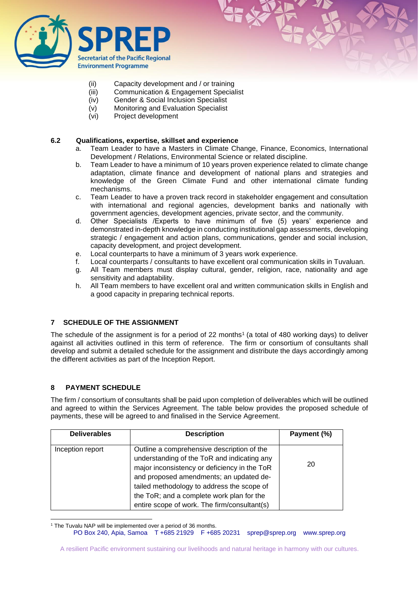

- (ii) Capacity development and / or training
- (iii) Communication & Engagement Specialist
- (iv) Gender & Social Inclusion Specialist
- (v) Monitoring and Evaluation Specialist
- (vi) Project development

## **6.2 Qualifications, expertise, skillset and experience**

- a. Team Leader to have a Masters in Climate Change, Finance, Economics, International Development / Relations, Environmental Science or related discipline.
- b. Team Leader to have a minimum of 10 years proven experience related to climate change adaptation, climate finance and development of national plans and strategies and knowledge of the Green Climate Fund and other international climate funding mechanisms.
- c. Team Leader to have a proven track record in stakeholder engagement and consultation with international and regional agencies, development banks and nationally with government agencies, development agencies, private sector, and the community.
- d. Other Specialists /Experts to have minimum of five (5) years' experience and demonstrated in-depth knowledge in conducting institutional gap assessments, developing strategic / engagement and action plans, communications, gender and social inclusion, capacity development, and project development.
- e. Local counterparts to have a minimum of 3 years work experience.
- f. Local counterparts / consultants to have excellent oral communication skills in Tuvaluan.
- g. All Team members must display cultural, gender, religion, race, nationality and age sensitivity and adaptability.
- h. All Team members to have excellent oral and written communication skills in English and a good capacity in preparing technical reports.

# **7 SCHEDULE OF THE ASSIGNMENT**

The schedule of the assignment is for a period of 22 months<sup>1</sup> (a total of 480 working days) to deliver against all activities outlined in this term of reference. The firm or consortium of consultants shall develop and submit a detailed schedule for the assignment and distribute the days accordingly among the different activities as part of the Inception Report.

# **8 PAYMENT SCHEDULE**

The firm / consortium of consultants shall be paid upon completion of deliverables which will be outlined and agreed to within the Services Agreement. The table below provides the proposed schedule of payments, these will be agreed to and finalised in the Service Agreement.

| <b>Deliverables</b> | <b>Description</b>                                                                                                                                                                                                                                                                                                              | Payment (%) |
|---------------------|---------------------------------------------------------------------------------------------------------------------------------------------------------------------------------------------------------------------------------------------------------------------------------------------------------------------------------|-------------|
| Inception report    | Outline a comprehensive description of the<br>understanding of the ToR and indicating any<br>major inconsistency or deficiency in the ToR<br>and proposed amendments; an updated de-<br>tailed methodology to address the scope of<br>the ToR; and a complete work plan for the<br>entire scope of work. The firm/consultant(s) | 20          |

<sup>&</sup>lt;sup>1</sup> The Tuvalu NAP will be implemented over a period of 36 months.

PO Box 240, Apia, Samoa T +685 21929 F +685 20231 [sprep@sprep.org](mailto:sprep@sprep.org) [www.sprep.org](http://www.sprep.org/)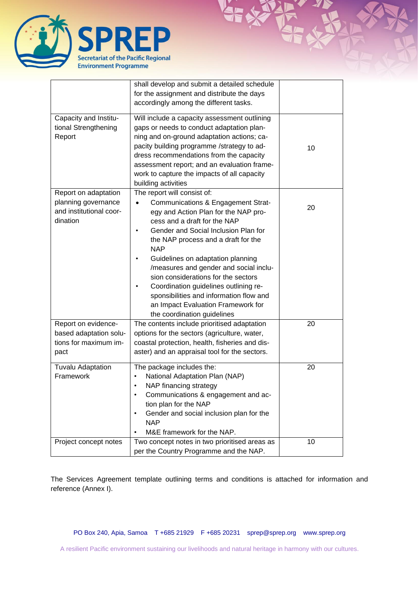

|                                                                                    | shall develop and submit a detailed schedule<br>for the assignment and distribute the days<br>accordingly among the different tasks.                                                                                                                                                                                                                                                                                                                                                                                  |    |
|------------------------------------------------------------------------------------|-----------------------------------------------------------------------------------------------------------------------------------------------------------------------------------------------------------------------------------------------------------------------------------------------------------------------------------------------------------------------------------------------------------------------------------------------------------------------------------------------------------------------|----|
| Capacity and Institu-<br>tional Strengthening<br>Report                            | Will include a capacity assessment outlining<br>gaps or needs to conduct adaptation plan-<br>ning and on-ground adaptation actions; ca-<br>pacity building programme /strategy to ad-<br>dress recommendations from the capacity<br>assessment report; and an evaluation frame-<br>work to capture the impacts of all capacity<br>building activities                                                                                                                                                                 | 10 |
| Report on adaptation<br>planning governance<br>and institutional coor-<br>dination | The report will consist of:<br>Communications & Engagement Strat-<br>egy and Action Plan for the NAP pro-<br>cess and a draft for the NAP<br>Gender and Social Inclusion Plan for<br>the NAP process and a draft for the<br><b>NAP</b><br>Guidelines on adaptation planning<br>/measures and gender and social inclu-<br>sion considerations for the sectors<br>Coordination guidelines outlining re-<br>sponsibilities and information flow and<br>an Impact Evaluation Framework for<br>the coordination guidelines | 20 |
| Report on evidence-<br>based adaptation solu-<br>tions for maximum im-<br>pact     | The contents include prioritised adaptation<br>options for the sectors (agriculture, water,<br>coastal protection, health, fisheries and dis-<br>aster) and an appraisal tool for the sectors.                                                                                                                                                                                                                                                                                                                        | 20 |
| <b>Tuvalu Adaptation</b><br>Framework                                              | The package includes the:<br>National Adaptation Plan (NAP)<br>$\bullet$<br>NAP financing strategy<br>Communications & engagement and ac-<br>tion plan for the NAP<br>Gender and social inclusion plan for the<br><b>NAP</b><br>M&E framework for the NAP.                                                                                                                                                                                                                                                            | 20 |
| Project concept notes                                                              | Two concept notes in two prioritised areas as<br>per the Country Programme and the NAP.                                                                                                                                                                                                                                                                                                                                                                                                                               | 10 |

The Services Agreement template outlining terms and conditions is attached for information and reference (Annex I).

PO Box 240, Apia, Samoa T +685 21929 F +685 20231 Sprep@sprep.org [www.sprep.org](http://www.sprep.org/)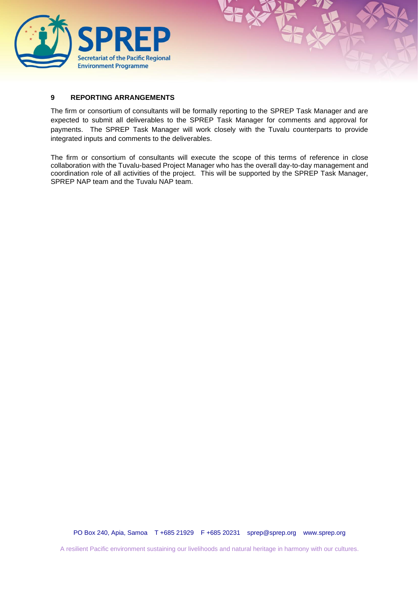

## **9 REPORTING ARRANGEMENTS**

The firm or consortium of consultants will be formally reporting to the SPREP Task Manager and are expected to submit all deliverables to the SPREP Task Manager for comments and approval for payments. The SPREP Task Manager will work closely with the Tuvalu counterparts to provide integrated inputs and comments to the deliverables.

The firm or consortium of consultants will execute the scope of this terms of reference in close collaboration with the Tuvalu-based Project Manager who has the overall day-to-day management and coordination role of all activities of the project. This will be supported by the SPREP Task Manager, SPREP NAP team and the Tuvalu NAP team.